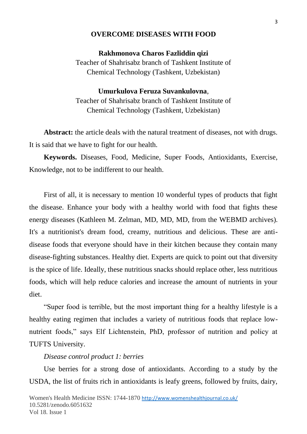### **OVERCOME DISEASES WITH FOOD**

### **Rakhmonova Charos Fazliddin qizi**

Teacher of Shahrisabz branch of Tashkent Institute of Chemical Technology (Tashkent, Uzbekistan)

# **Umurkulova Feruza Suvankulovna**, Teacher of Shahrisabz branch of Tashkent Institute of Chemical Technology (Tashkent, Uzbekistan)

**Abstract:** the article deals with the natural treatment of diseases, not with drugs. It is said that we have to fight for our health.

**Keywords.** Diseases, Food, Medicine, Super Foods, Antioxidants, Exercise, Knowledge, not to be indifferent to our health.

First of all, it is necessary to mention 10 wonderful types of products that fight the disease. Enhance your body with a healthy world with food that fights these energy diseases (Kathleen M. Zelman, MD, MD, MD, from the WEBMD archives). It's a nutritionist's dream food, creamy, nutritious and delicious. These are antidisease foods that everyone should have in their kitchen because they contain many disease-fighting substances. Healthy diet. Experts are quick to point out that diversity is the spice of life. Ideally, these nutritious snacks should replace other, less nutritious foods, which will help reduce calories and increase the amount of nutrients in your diet.

"Super food is terrible, but the most important thing for a healthy lifestyle is a healthy eating regimen that includes a variety of nutritious foods that replace lownutrient foods," says Elf Lichtenstein, PhD, professor of nutrition and policy at TUFTS University.

#### *Disease control product 1: berries*

Use berries for a strong dose of antioxidants. According to a study by the USDA, the list of fruits rich in antioxidants is leafy greens, followed by fruits, dairy,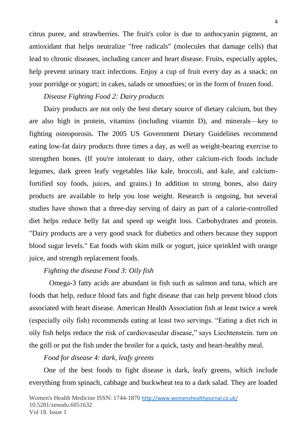citrus puree, and strawberries. The fruit's color is due to anthocyanin pigment, an antioxidant that helps neutralize "free radicals" (molecules that damage cells) that lead to chronic diseases, including cancer and heart disease. Fruits, especially apples, help prevent urinary tract infections. Enjoy a cup of fruit every day as a snack; on your porridge or yogurt; in cakes, salads or smoothies; or in the form of frozen food.

## *Disease Fighting Food 2: Dairy products*

Dairy products are not only the best dietary source of dietary calcium, but they are also high in protein, vitamins (including vitamin D), and minerals—key to fighting osteoporosis. The 2005 US Government Dietary Guidelines recommend eating low-fat dairy products three times a day, as well as weight-bearing exercise to strengthen bones. (If you're intolerant to dairy, other calcium-rich foods include legumes, dark green leafy vegetables like kale, broccoli, and kale, and calciumfortified soy foods, juices, and grains.) In addition to strong bones, also dairy products are available to help you lose weight. Research is ongoing, but several studies have shown that a three-day serving of dairy as part of a calorie-controlled diet helps reduce belly fat and speed up weight loss. Carbohydrates and protein. "Dairy products are a very good snack for diabetics and others because they support blood sugar levels." Eat foods with skim milk or yogurt, juice sprinkled with orange juice, and strength replacement foods.

## *Fighting the disease Food 3: Oily fish*

 Omega-3 fatty acids are abundant in fish such as salmon and tuna, which are foods that help, reduce blood fats and fight disease that can help prevent blood clots associated with heart disease. American Health Association fish at least twice a week (especially oily fish) recommends eating at least two servings. "Eating a diet rich in oily fish helps reduce the risk of cardiovascular disease," says Liechtenstein. turn on the grill or put the fish under the broiler for a quick, tasty and heart-healthy meal.

## *Food for disease 4: dark, leafy greens*

One of the best foods to fight disease is dark, leafy greens, which include everything from spinach, cabbage and buckwheat tea to a dark salad. They are loaded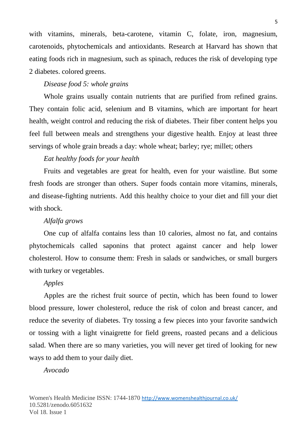with vitamins, minerals, beta-carotene, vitamin C, folate, iron, magnesium, carotenoids, phytochemicals and antioxidants. Research at Harvard has shown that eating foods rich in magnesium, such as spinach, reduces the risk of developing type 2 diabetes. colored greens.

## *Disease food 5: whole grains*

Whole grains usually contain nutrients that are purified from refined grains. They contain folic acid, selenium and B vitamins, which are important for heart health, weight control and reducing the risk of diabetes. Their fiber content helps you feel full between meals and strengthens your digestive health. Enjoy at least three servings of whole grain breads a day: whole wheat; barley; rye; millet; others

### *Eat healthy foods for your health*

Fruits and vegetables are great for health, even for your waistline. But some fresh foods are stronger than others. Super foods contain more vitamins, minerals, and disease-fighting nutrients. Add this healthy choice to your diet and fill your diet with shock.

#### *Alfalfa grows*

One cup of alfalfa contains less than 10 calories, almost no fat, and contains phytochemicals called saponins that protect against cancer and help lower cholesterol. How to consume them: Fresh in salads or sandwiches, or small burgers with turkey or vegetables.

#### *Apples*

Apples are the richest fruit source of pectin, which has been found to lower blood pressure, lower cholesterol, reduce the risk of colon and breast cancer, and reduce the severity of diabetes. Try tossing a few pieces into your favorite sandwich or tossing with a light vinaigrette for field greens, roasted pecans and a delicious salad. When there are so many varieties, you will never get tired of looking for new ways to add them to your daily diet.

### *Avocado*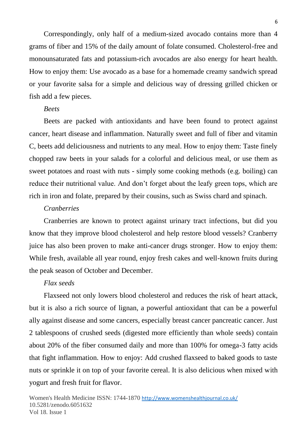Correspondingly, only half of a medium-sized avocado contains more than 4 grams of fiber and 15% of the daily amount of folate consumed. Cholesterol-free and monounsaturated fats and potassium-rich avocados are also energy for heart health. How to enjoy them: Use avocado as a base for a homemade creamy sandwich spread or your favorite salsa for a simple and delicious way of dressing grilled chicken or fish add a few pieces.

### *Beets*

Beets are packed with antioxidants and have been found to protect against cancer, heart disease and inflammation. Naturally sweet and full of fiber and vitamin C, beets add deliciousness and nutrients to any meal. How to enjoy them: Taste finely chopped raw beets in your salads for a colorful and delicious meal, or use them as sweet potatoes and roast with nuts - simply some cooking methods (e.g. boiling) can reduce their nutritional value. And don't forget about the leafy green tops, which are rich in iron and folate, prepared by their cousins, such as Swiss chard and spinach.

## *Cranberries*

Cranberries are known to protect against urinary tract infections, but did you know that they improve blood cholesterol and help restore blood vessels? Cranberry juice has also been proven to make anti-cancer drugs stronger. How to enjoy them: While fresh, available all year round, enjoy fresh cakes and well-known fruits during the peak season of October and December.

## *Flax seeds*

Flaxseed not only lowers blood cholesterol and reduces the risk of heart attack, but it is also a rich source of lignan, a powerful antioxidant that can be a powerful ally against disease and some cancers, especially breast cancer pancreatic cancer. Just 2 tablespoons of crushed seeds (digested more efficiently than whole seeds) contain about 20% of the fiber consumed daily and more than 100% for omega-3 fatty acids that fight inflammation. How to enjoy: Add crushed flaxseed to baked goods to taste nuts or sprinkle it on top of your favorite cereal. It is also delicious when mixed with yogurt and fresh fruit for flavor.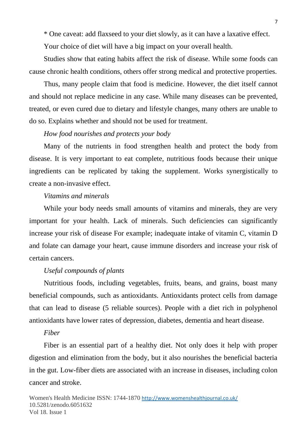\* One caveat: add flaxseed to your diet slowly, as it can have a laxative effect.

Your choice of diet will have a big impact on your overall health.

Studies show that eating habits affect the risk of disease. While some foods can cause chronic health conditions, others offer strong medical and protective properties.

Thus, many people claim that food is medicine. However, the diet itself cannot and should not replace medicine in any case. While many diseases can be prevented, treated, or even cured due to dietary and lifestyle changes, many others are unable to do so. Explains whether and should not be used for treatment.

### *How food nourishes and protects your body*

Many of the nutrients in food strengthen health and protect the body from disease. It is very important to eat complete, nutritious foods because their unique ingredients can be replicated by taking the supplement. Works synergistically to create a non-invasive effect.

### *Vitamins and minerals*

While your body needs small amounts of vitamins and minerals, they are very important for your health. Lack of minerals. Such deficiencies can significantly increase your risk of disease For example; inadequate intake of vitamin C, vitamin D and folate can damage your heart, cause immune disorders and increase your risk of certain cancers.

## *Useful compounds of plants*

Nutritious foods, including vegetables, fruits, beans, and grains, boast many beneficial compounds, such as antioxidants. Antioxidants protect cells from damage that can lead to disease (5 reliable sources). People with a diet rich in polyphenol antioxidants have lower rates of depression, diabetes, dementia and heart disease.

#### *Fiber*

Fiber is an essential part of a healthy diet. Not only does it help with proper digestion and elimination from the body, but it also nourishes the beneficial bacteria in the gut. Low-fiber diets are associated with an increase in diseases, including colon cancer and stroke.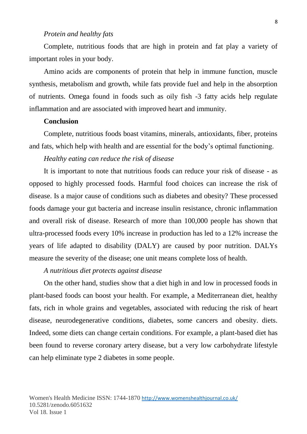### *Protein and healthy fats*

Complete, nutritious foods that are high in protein and fat play a variety of important roles in your body.

Amino acids are components of protein that help in immune function, muscle synthesis, metabolism and growth, while fats provide fuel and help in the absorption of nutrients. Omega found in foods such as oily fish -3 fatty acids help regulate inflammation and are associated with improved heart and immunity.

## **Conclusion**

Complete, nutritious foods boast vitamins, minerals, antioxidants, fiber, proteins and fats, which help with health and are essential for the body's optimal functioning.

#### *Healthy eating can reduce the risk of disease*

It is important to note that nutritious foods can reduce your risk of disease - as opposed to highly processed foods. Harmful food choices can increase the risk of disease. Is a major cause of conditions such as diabetes and obesity? These processed foods damage your gut bacteria and increase insulin resistance, chronic inflammation and overall risk of disease. Research of more than 100,000 people has shown that ultra-processed foods every 10% increase in production has led to a 12% increase the years of life adapted to disability (DALY) are caused by poor nutrition. DALYs measure the severity of the disease; one unit means complete loss of health.

#### *A nutritious diet protects against disease*

On the other hand, studies show that a diet high in and low in processed foods in plant-based foods can boost your health. For example, a Mediterranean diet, healthy fats, rich in whole grains and vegetables, associated with reducing the risk of heart disease, neurodegenerative conditions, diabetes, some cancers and obesity. diets. Indeed, some diets can change certain conditions. For example, a plant-based diet has been found to reverse coronary artery disease, but a very low carbohydrate lifestyle can help eliminate type 2 diabetes in some people.